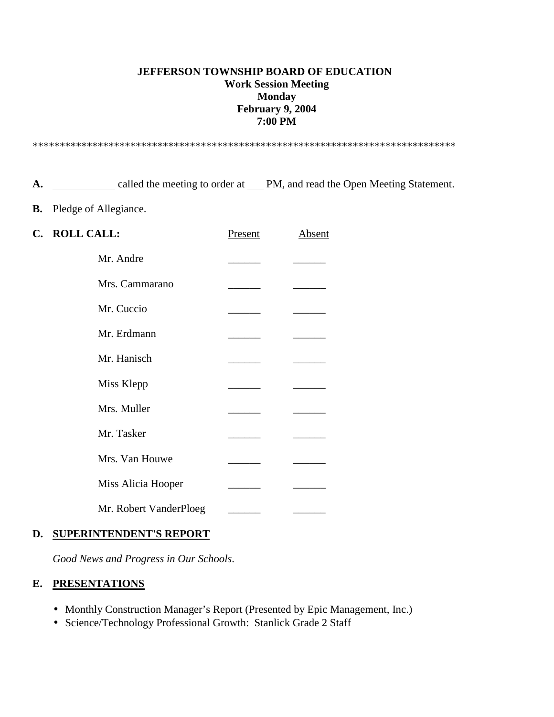#### **JEFFERSON TOWNSHIP BOARD OF EDUCATION Work Session Meeting Monday February 9, 2004 7:00 PM**

\*\*\*\*\*\*\*\*\*\*\*\*\*\*\*\*\*\*\*\*\*\*\*\*\*\*\*\*\*\*\*\*\*\*\*\*\*\*\*\*\*\*\*\*\*\*\*\*\*\*\*\*\*\*\*\*\*\*\*\*\*\*\*\*\*\*\*\*\*\*\*\*\*\*\*\*\*\*

A. **Called the meeting to order at PM, and read the Open Meeting Statement.** 

**B.** Pledge of Allegiance.

| C. | <b>ROLL CALL:</b>      | Present | Absent |
|----|------------------------|---------|--------|
|    | Mr. Andre              |         |        |
|    | Mrs. Cammarano         |         |        |
|    | Mr. Cuccio             |         |        |
|    | Mr. Erdmann            |         |        |
|    | Mr. Hanisch            |         |        |
|    | Miss Klepp             |         |        |
|    | Mrs. Muller            |         |        |
|    | Mr. Tasker             |         |        |
|    | Mrs. Van Houwe         |         |        |
|    | Miss Alicia Hooper     |         |        |
|    | Mr. Robert VanderPloeg |         |        |

#### **D. SUPERINTENDENT'S REPORT**

*Good News and Progress in Our Schools*.

### **E. PRESENTATIONS**

- Monthly Construction Manager's Report (Presented by Epic Management, Inc.)
- Science/Technology Professional Growth: Stanlick Grade 2 Staff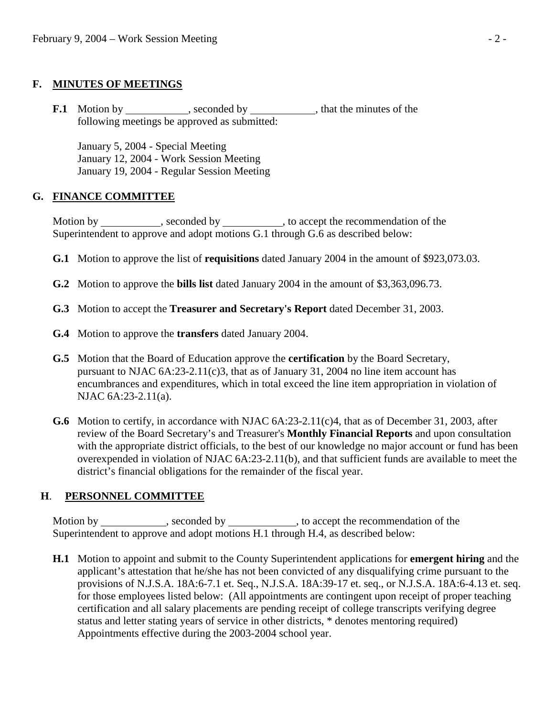### **F. MINUTES OF MEETINGS**

**F.1** Motion by , seconded by , that the minutes of the following meetings be approved as submitted:

 January 5, 2004 - Special Meeting January 12, 2004 - Work Session Meeting January 19, 2004 - Regular Session Meeting

### **G. FINANCE COMMITTEE**

Motion by \_\_\_\_\_\_\_\_\_\_, seconded by \_\_\_\_\_\_\_\_\_\_, to accept the recommendation of the Superintendent to approve and adopt motions G.1 through G.6 as described below:

- **G.1** Motion to approve the list of **requisitions** dated January 2004 in the amount of \$923,073.03.
- **G.2** Motion to approve the **bills list** dated January 2004 in the amount of \$3,363,096.73.
- **G.3** Motion to accept the **Treasurer and Secretary's Report** dated December 31, 2003.
- **G.4** Motion to approve the **transfers** dated January 2004.
- **G.5** Motion that the Board of Education approve the **certification** by the Board Secretary, pursuant to NJAC  $6A:23-2.11(c)3$ , that as of January 31, 2004 no line item account has encumbrances and expenditures, which in total exceed the line item appropriation in violation of NJAC 6A:23-2.11(a).
- **G.6** Motion to certify, in accordance with NJAC 6A:23-2.11(c)4, that as of December 31, 2003, after review of the Board Secretary's and Treasurer's **Monthly Financial Reports** and upon consultation with the appropriate district officials, to the best of our knowledge no major account or fund has been overexpended in violation of NJAC 6A:23-2.11(b), and that sufficient funds are available to meet the district's financial obligations for the remainder of the fiscal year.

### **H**. **PERSONNEL COMMITTEE**

Motion by \_\_\_\_\_\_\_\_\_\_\_, seconded by \_\_\_\_\_\_\_\_\_\_, to accept the recommendation of the Superintendent to approve and adopt motions H.1 through H.4, as described below:

 **H.1** Motion to appoint and submit to the County Superintendent applications for **emergent hiring** and the applicant's attestation that he/she has not been convicted of any disqualifying crime pursuant to the provisions of N.J.S.A. 18A:6-7.1 et. Seq., N.J.S.A. 18A:39-17 et. seq., or N.J.S.A. 18A:6-4.13 et. seq. for those employees listed below: (All appointments are contingent upon receipt of proper teaching certification and all salary placements are pending receipt of college transcripts verifying degree status and letter stating years of service in other districts, \* denotes mentoring required) Appointments effective during the 2003-2004 school year.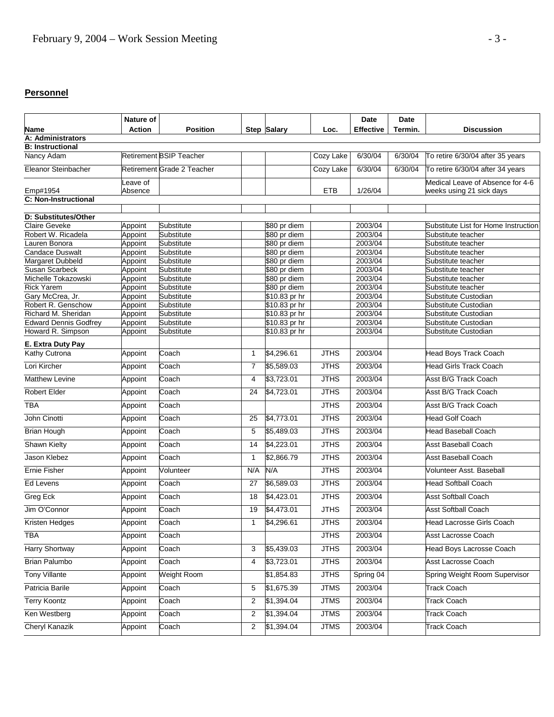## **Personnel**

|                                                   | Nature of               |                                |                |                                |                  | Date               | <b>Date</b> |                                              |
|---------------------------------------------------|-------------------------|--------------------------------|----------------|--------------------------------|------------------|--------------------|-------------|----------------------------------------------|
| Name                                              | <b>Action</b>           | Position                       |                | <b>Step Salary</b>             | Loc.             | <b>Effective</b>   | Termin.     | <b>Discussion</b>                            |
| A: Administrators                                 |                         |                                |                |                                |                  |                    |             |                                              |
|                                                   | <b>B:</b> Instructional |                                |                |                                |                  |                    |             |                                              |
| Nancy Adam                                        |                         | <b>Retirement BSIP Teacher</b> |                |                                | <b>Cozy Lake</b> | 6/30/04            | 6/30/04     | To retire 6/30/04 after 35 years             |
| Eleanor Steinbacher                               |                         | Retirement Grade 2 Teacher     |                |                                | Cozy Lake        | 6/30/04            | 6/30/04     | To retire 6/30/04 after 34 years             |
|                                                   | Leave of                |                                |                |                                | <b>ETB</b>       | 1/26/04            |             | Medical Leave of Absence for 4-6             |
| Emp#1954<br>C: Non-Instructional                  | Absence                 |                                |                |                                |                  |                    |             | weeks using 21 sick days                     |
|                                                   |                         |                                |                |                                |                  |                    |             |                                              |
| D: Substitutes/Other                              |                         |                                |                |                                |                  |                    |             |                                              |
| <b>Claire Geveke</b>                              | Appoint                 | Substitute                     |                | \$80 pr diem                   |                  | 2003/04            |             | Substitute List for Home Instruction         |
| Robert W. Ricadela                                | Appoint                 | Substitute                     |                | \$80 pr diem                   |                  | 2003/04            |             | Substitute teacher                           |
| Lauren Bonora                                     | Appoint                 | Substitute                     |                | \$80 pr diem                   |                  | 2003/04            |             | Substitute teacher                           |
| <b>Candace Duswalt</b>                            | Appoint                 | Substitute                     |                | \$80 pr diem                   |                  | 2003/04            |             | Substitute teacher                           |
| Margaret Dubbeld                                  | Appoint                 | Substitute                     |                | \$80 pr diem                   |                  | 2003/04            |             | Substitute teacher                           |
| Susan Scarbeck                                    | Appoint                 | Substitute                     |                | \$80 pr diem                   |                  | 2003/04            |             | Substitute teacher                           |
| Michelle Tokazowski                               | Appoint                 | Substitute                     |                | \$80 pr diem                   |                  | 2003/04            |             | Substitute teacher                           |
| <b>Rick Yarem</b>                                 | Appoint                 | Substitute                     |                | \$80 pr diem                   |                  | 2003/04            |             | Substitute teacher                           |
| Gary McCrea, Jr.                                  | Appoint                 | Substitute                     |                | \$10.83 pr hr                  |                  | 2003/04            |             | Substitute Custodian                         |
| Robert R. Genschow                                | Appoint                 | Substitute                     |                | \$10.83 pr hr                  |                  | 2003/04            |             | Substitute Custodian                         |
| Richard M. Sheridan                               | Appoint                 | Substitute                     |                | \$10.83 pr hr                  |                  | 2003/04<br>2003/04 |             | Substitute Custodian<br>Substitute Custodian |
| <b>Edward Dennis Godfrey</b><br>Howard R. Simpson | Appoint                 | Substitute<br>Substitute       |                | \$10.83 pr hr<br>\$10.83 pr hr |                  | 2003/04            |             | Substitute Custodian                         |
|                                                   | Appoint                 |                                |                |                                |                  |                    |             |                                              |
| E. Extra Duty Pay                                 |                         |                                |                |                                |                  |                    |             |                                              |
| <b>Kathy Cutrona</b>                              | Appoint                 | Coach                          | $\mathbf{1}$   | \$4,296.61                     | <b>JTHS</b>      | 2003/04            |             | <b>Head Boys Track Coach</b>                 |
| Lori Kircher                                      | Appoint                 | Coach                          | $\overline{7}$ | \$5,589.03                     | <b>JTHS</b>      | 2003/04            |             | <b>Head Girls Track Coach</b>                |
| Matthew Levine                                    | Appoint                 | Coach                          | 4              | \$3,723.01                     | <b>JTHS</b>      | 2003/04            |             | Asst B/G Track Coach                         |
| Robert Elder                                      | Appoint                 | Coach                          | 24             | \$4,723.01                     | <b>JTHS</b>      | 2003/04            |             | Asst B/G Track Coach                         |
| <b>TBA</b>                                        | Appoint                 | Coach                          |                |                                | <b>JTHS</b>      | 2003/04            |             | Asst B/G Track Coach                         |
| John Cinotti                                      | Appoint                 | Coach                          | 25             | \$4,773.01                     | <b>JTHS</b>      | 2003/04            |             | Head Golf Coach                              |
| <b>Brian Hough</b>                                | Appoint                 | Coach                          | 5              | \$5,489.03                     | <b>JTHS</b>      | 2003/04            |             | Head Baseball Coach                          |
| Shawn Kielty                                      | Appoint                 | Coach                          | 14             | \$4,223.01                     | <b>JTHS</b>      | 2003/04            |             | <b>Asst Baseball Coach</b>                   |
| Jason Klebez                                      | Appoint                 | Coach                          | $\mathbf{1}$   | \$2,866.79                     | <b>JTHS</b>      | 2003/04            |             | <b>Asst Baseball Coach</b>                   |
| <b>Ernie Fisher</b>                               | Appoint                 | Volunteer                      | N/A            | N/A                            | <b>JTHS</b>      | 2003/04            |             | Volunteer Asst. Baseball                     |
| Ed Levens                                         | Appoint                 | Coach                          | 27             | \$6,589.03                     | <b>JTHS</b>      | 2003/04            |             | <b>Head Softball Coach</b>                   |
| Greg Eck                                          | Appoint                 | Coach                          | 18             | \$4,423.01                     | <b>JTHS</b>      | 2003/04            |             | <b>Asst Softball Coach</b>                   |
| Jim O'Connor                                      | Appoint                 | Coach                          | 19             | \$4,473.01                     | <b>JTHS</b>      | 2003/04            |             | <b>Asst Softball Coach</b>                   |
| Kristen Hedges                                    | Appoint                 | Coach                          | $\mathbf{1}$   | \$4,296.61                     | <b>JTHS</b>      | 2003/04            |             | Head Lacrosse Girls Coach                    |
| <b>TBA</b>                                        | Appoint                 | Coach                          |                |                                | <b>JTHS</b>      | 2003/04            |             | Asst Lacrosse Coach                          |
| <b>Harry Shortway</b>                             | Appoint                 | Coach                          | 3              | \$5,439.03                     | <b>JTHS</b>      | 2003/04            |             | <b>Head Boys Lacrosse Coach</b>              |
| <b>Brian Palumbo</b>                              | Appoint                 | Coach                          | 4              | \$3,723.01                     | <b>JTHS</b>      | 2003/04            |             | <b>Asst Lacrosse Coach</b>                   |
| <b>Tony Villante</b>                              | Appoint                 | Weight Room                    |                | \$1,854.83                     | <b>JTHS</b>      | Spring 04          |             | Spring Weight Room Supervisor                |
| Patricia Barile                                   | Appoint                 | Coach                          | 5              | \$1,675.39                     | <b>JTMS</b>      | 2003/04            |             | <b>Track Coach</b>                           |
| <b>Terry Koontz</b>                               | Appoint                 | Coach                          | 2              | \$1,394.04                     | <b>JTMS</b>      | 2003/04            |             | <b>Track Coach</b>                           |
| Ken Westberg                                      | Appoint                 | Coach                          | 2              | \$1,394.04                     | <b>JTMS</b>      | 2003/04            |             | Track Coach                                  |
| <b>Cheryl Kanazik</b>                             | Appoint                 | Coach                          | 2              | \$1,394.04                     | <b>JTMS</b>      | 2003/04            |             | <b>Track Coach</b>                           |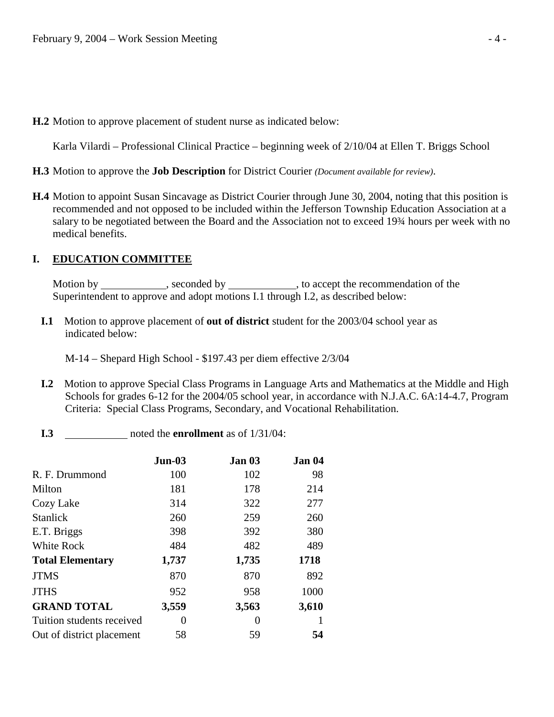**H.2** Motion to approve placement of student nurse as indicated below:

Karla Vilardi – Professional Clinical Practice – beginning week of 2/10/04 at Ellen T. Briggs School

- **H.3** Motion to approve the **Job Description** for District Courier *(Document available for review)*.
- **H.4** Motion to appoint Susan Sincavage as District Courier through June 30, 2004, noting that this position is recommended and not opposed to be included within the Jefferson Township Education Association at a salary to be negotiated between the Board and the Association not to exceed 19¾ hours per week with no medical benefits.

#### **I. EDUCATION COMMITTEE**

Motion by , seconded by , to accept the recommendation of the Superintendent to approve and adopt motions I.1 through I.2, as described below:

**I.1** Motion to approve placement of **out of district** student for the 2003/04 school year as indicated below:

M-14 – Shepard High School - \$197.43 per diem effective 2/3/04

- **I.2** Motion to approve Special Class Programs in Language Arts and Mathematics at the Middle and High Schools for grades 6-12 for the 2004/05 school year, in accordance with N.J.A.C. 6A:14-4.7, Program Criteria: Special Class Programs, Secondary, and Vocational Rehabilitation.
- **I.3** \_\_\_\_\_\_\_\_\_\_\_\_\_\_ noted the **enrollment** as of  $1/31/04$ :

|                           | $Jun-03$ | Jan 03 | Jan 04 |
|---------------------------|----------|--------|--------|
| R. F. Drummond            | 100      | 102    | 98     |
| Milton                    | 181      | 178    | 214    |
| Cozy Lake                 | 314      | 322    | 277    |
| <b>Stanlick</b>           | 260      | 259    | 260    |
| E.T. Briggs               | 398      | 392    | 380    |
| White Rock                | 484      | 482    | 489    |
| <b>Total Elementary</b>   | 1,737    | 1,735  | 1718   |
| <b>JTMS</b>               | 870      | 870    | 892    |
| <b>JTHS</b>               | 952      | 958    | 1000   |
| <b>GRAND TOTAL</b>        | 3,559    | 3,563  | 3,610  |
| Tuition students received | 0        | 0      |        |
| Out of district placement | 58       | 59     | 54     |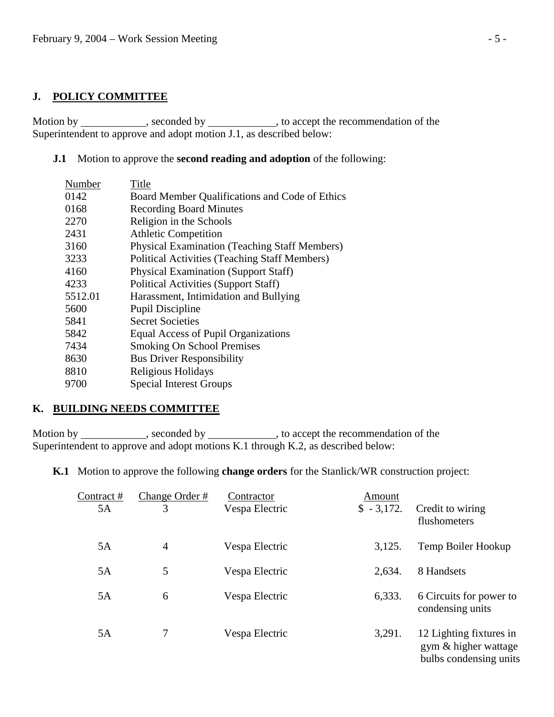### **J. POLICY COMMITTEE**

Motion by \_\_\_\_\_\_\_\_\_\_\_\_, seconded by \_\_\_\_\_\_\_\_\_\_\_\_, to accept the recommendation of the Superintendent to approve and adopt motion J.1, as described below:

#### **J.1** Motion to approve the **second reading and adoption** of the following:

| Number  | Title                                                |
|---------|------------------------------------------------------|
| 0142    | Board Member Qualifications and Code of Ethics       |
| 0168    | <b>Recording Board Minutes</b>                       |
| 2270    | Religion in the Schools                              |
| 2431    | <b>Athletic Competition</b>                          |
| 3160    | <b>Physical Examination (Teaching Staff Members)</b> |
| 3233    | <b>Political Activities (Teaching Staff Members)</b> |
| 4160    | <b>Physical Examination (Support Staff)</b>          |
| 4233    | <b>Political Activities (Support Staff)</b>          |
| 5512.01 | Harassment, Intimidation and Bullying                |
| 5600    | <b>Pupil Discipline</b>                              |
| 5841    | <b>Secret Societies</b>                              |
| 5842    | Equal Access of Pupil Organizations                  |
| 7434    | <b>Smoking On School Premises</b>                    |
| 8630    | <b>Bus Driver Responsibility</b>                     |
| 8810    | Religious Holidays                                   |
| 9700    | <b>Special Interest Groups</b>                       |

#### **K. BUILDING NEEDS COMMITTEE**

Motion by \_\_\_\_\_\_\_\_\_\_\_, seconded by \_\_\_\_\_\_\_\_\_\_\_, to accept the recommendation of the Superintendent to approve and adopt motions K.1 through K.2, as described below:

**K.1** Motion to approve the following **change orders** for the Stanlick/WR construction project:

| Contract#<br>5A | Change Order #<br>3 | Contractor<br>Vespa Electric | Amount<br>$$ -3,172.$ | Credit to wiring<br>flushometers                                          |
|-----------------|---------------------|------------------------------|-----------------------|---------------------------------------------------------------------------|
| 5A              | 4                   | Vespa Electric               | 3,125.                | Temp Boiler Hookup                                                        |
| 5A              | 5                   | Vespa Electric               | 2,634.                | 8 Handsets                                                                |
| 5A              | 6                   | Vespa Electric               | 6,333.                | 6 Circuits for power to<br>condensing units                               |
| 5A              | 7                   | Vespa Electric               | 3,291.                | 12 Lighting fixtures in<br>gym & higher wattage<br>bulbs condensing units |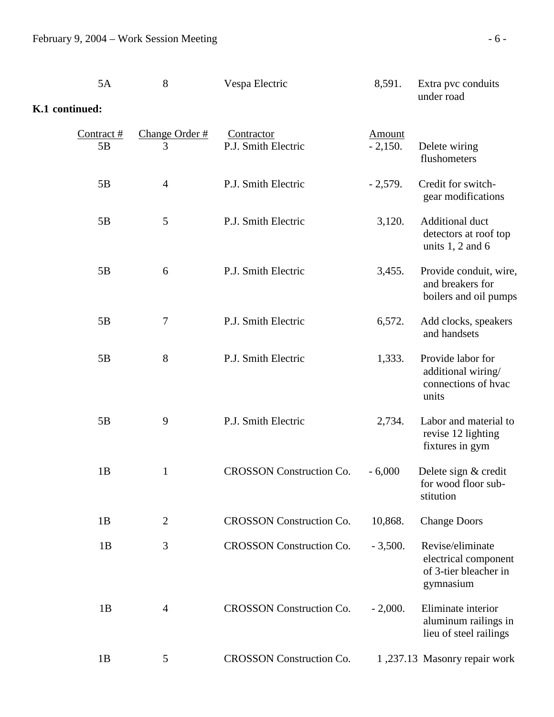|                | 5A                 | 8                   | Vespa Electric                    | 8,591.              | Extra pvc conduits<br>under road                                               |
|----------------|--------------------|---------------------|-----------------------------------|---------------------|--------------------------------------------------------------------------------|
| K.1 continued: |                    |                     |                                   |                     |                                                                                |
|                | Contract $#$<br>5B | Change Order #<br>3 | Contractor<br>P.J. Smith Electric | Amount<br>$-2,150.$ | Delete wiring<br>flushometers                                                  |
|                | 5B                 | $\overline{4}$      | P.J. Smith Electric               | $-2,579.$           | Credit for switch-<br>gear modifications                                       |
|                | 5B                 | 5                   | P.J. Smith Electric               | 3,120.              | Additional duct<br>detectors at roof top<br>units $1, 2$ and $6$               |
|                | 5B                 | 6                   | P.J. Smith Electric               | 3,455.              | Provide conduit, wire,<br>and breakers for<br>boilers and oil pumps            |
|                | 5B                 | $\tau$              | P.J. Smith Electric               | 6,572.              | Add clocks, speakers<br>and handsets                                           |
|                | 5B                 | 8                   | P.J. Smith Electric               | 1,333.              | Provide labor for<br>additional wiring/<br>connections of hyac<br>units        |
|                | 5B                 | 9                   | P.J. Smith Electric               | 2,734.              | Labor and material to<br>revise 12 lighting<br>fixtures in gym                 |
|                | 1B                 | 1                   | <b>CROSSON</b> Construction Co.   | $-6,000$            | Delete sign & credit<br>for wood floor sub-<br>stitution                       |
|                | 1B                 | $\overline{2}$      | <b>CROSSON</b> Construction Co.   | 10,868.             | <b>Change Doors</b>                                                            |
|                | 1B                 | 3                   | <b>CROSSON</b> Construction Co.   | $-3,500.$           | Revise/eliminate<br>electrical component<br>of 3-tier bleacher in<br>gymnasium |
|                | 1B                 | $\overline{4}$      | <b>CROSSON</b> Construction Co.   | $-2,000.$           | Eliminate interior<br>aluminum railings in<br>lieu of steel railings           |
|                | 1B                 | 5                   | <b>CROSSON</b> Construction Co.   |                     | 1,237.13 Masonry repair work                                                   |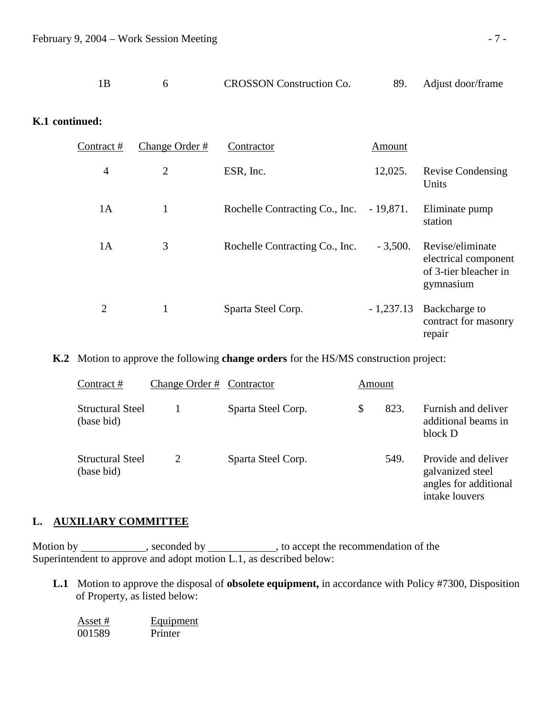|  |  |  | <b>CROSSON</b> Construction Co. |  | Adjust door/frame |
|--|--|--|---------------------------------|--|-------------------|
|--|--|--|---------------------------------|--|-------------------|

### **K.1 continued:**

| Contract#      | Change Order # | Contractor                     | Amount      |                                                                                |
|----------------|----------------|--------------------------------|-------------|--------------------------------------------------------------------------------|
| $\overline{4}$ | $\overline{2}$ | ESR, Inc.                      | 12,025.     | <b>Revise Condensing</b><br>Units                                              |
| 1A             | $\mathbf{1}$   | Rochelle Contracting Co., Inc. | $-19,871.$  | Eliminate pump<br>station                                                      |
| 1A             | 3              | Rochelle Contracting Co., Inc. | $-3,500.$   | Revise/eliminate<br>electrical component<br>of 3-tier bleacher in<br>gymnasium |
| 2              | $\mathbf{1}$   | Sparta Steel Corp.             | $-1,237.13$ | Backcharge to<br>contract for masonry<br>repair                                |

**K.2** Motion to approve the following **change orders** for the HS/MS construction project:

| Contract#                             | Change Order # Contractor |                    | Amount |      |                                                                                    |
|---------------------------------------|---------------------------|--------------------|--------|------|------------------------------------------------------------------------------------|
| <b>Structural Steel</b><br>(base bid) |                           | Sparta Steel Corp. | \$     | 823. | Furnish and deliver<br>additional beams in<br>block D                              |
| <b>Structural Steel</b><br>(base bid) | 2                         | Sparta Steel Corp. |        | 549. | Provide and deliver<br>galvanized steel<br>angles for additional<br>intake louvers |

#### **L. AUXILIARY COMMITTEE**

Motion by \_\_\_\_\_\_\_\_\_\_\_\_, seconded by \_\_\_\_\_\_\_\_\_\_\_\_, to accept the recommendation of the Superintendent to approve and adopt motion L.1, as described below:

 **L.1** Motion to approve the disposal of **obsolete equipment,** in accordance with Policy #7300, Disposition of Property, as listed below:

| Asset # | Equipment |
|---------|-----------|
| 001589  | Printer   |